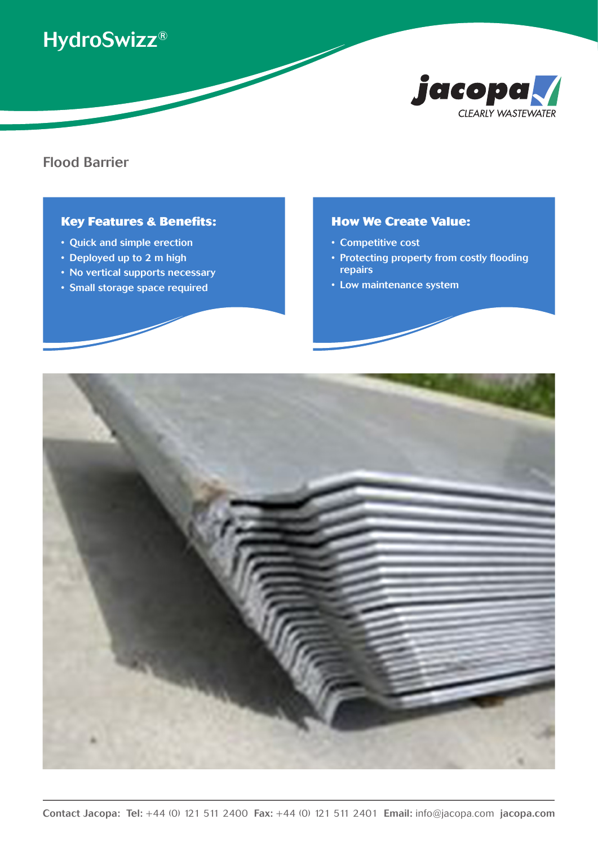# HydroSwizz®



### Flood Barrier

#### **Key Features & Benefits:**

- Quick and simple erection
- Deployed up to 2 m high
- No vertical supports necessary
- Small storage space required

#### **How We Create Value:**

- Competitive cost
- Protecting property from costly flooding repairs
- Low maintenance system